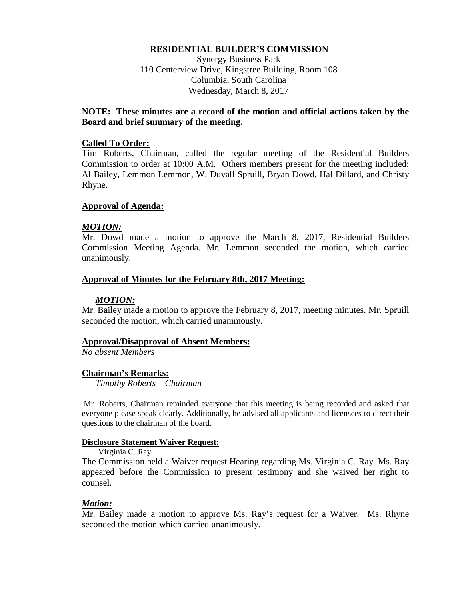### **RESIDENTIAL BUILDER'S COMMISSION**

Synergy Business Park 110 Centerview Drive, Kingstree Building, Room 108 Columbia, South Carolina Wednesday, March 8, 2017

# **NOTE: These minutes are a record of the motion and official actions taken by the Board and brief summary of the meeting.**

#### **Called To Order:**

Tim Roberts, Chairman, called the regular meeting of the Residential Builders Commission to order at 10:00 A.M. Others members present for the meeting included: Al Bailey, Lemmon Lemmon, W. Duvall Spruill, Bryan Dowd, Hal Dillard, and Christy Rhyne.

### **Approval of Agenda:**

### *MOTION:*

Mr. Dowd made a motion to approve the March 8, 2017, Residential Builders Commission Meeting Agenda. Mr. Lemmon seconded the motion, which carried unanimously.

### **Approval of Minutes for the February 8th, 2017 Meeting:**

### *MOTION:*

Mr. Bailey made a motion to approve the February 8, 2017, meeting minutes. Mr. Spruill seconded the motion, which carried unanimously.

#### **Approval/Disapproval of Absent Members:**

*No absent Members*

# **Chairman's Remarks:**

*Timothy Roberts – Chairman*

Mr. Roberts, Chairman reminded everyone that this meeting is being recorded and asked that everyone please speak clearly. Additionally, he advised all applicants and licensees to direct their questions to the chairman of the board.

#### **Disclosure Statement Waiver Request:**

Virginia C. Ray

The Commission held a Waiver request Hearing regarding Ms. Virginia C. Ray. Ms. Ray appeared before the Commission to present testimony and she waived her right to counsel.

# *Motion:*

Mr. Bailey made a motion to approve Ms. Ray's request for a Waiver. Ms. Rhyne seconded the motion which carried unanimously.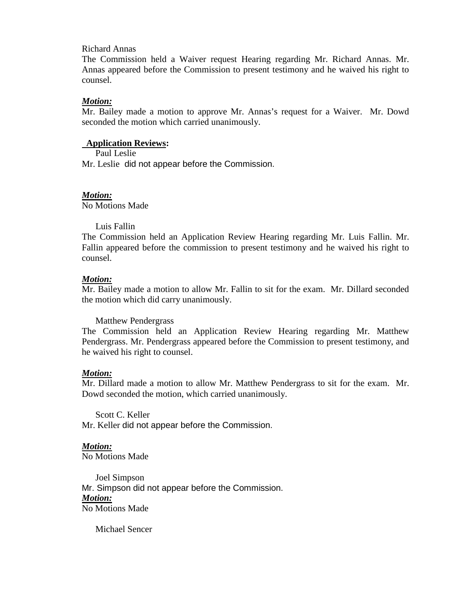#### Richard Annas

The Commission held a Waiver request Hearing regarding Mr. Richard Annas. Mr. Annas appeared before the Commission to present testimony and he waived his right to counsel.

#### *Motion:*

Mr. Bailey made a motion to approve Mr. Annas's request for a Waiver. Mr. Dowd seconded the motion which carried unanimously.

### **Application Reviews:**

Paul Leslie

Mr. Leslie did not appear before the Commission.

#### *Motion:*

No Motions Made

#### Luis Fallin

The Commission held an Application Review Hearing regarding Mr. Luis Fallin. Mr. Fallin appeared before the commission to present testimony and he waived his right to counsel.

#### *Motion:*

Mr. Bailey made a motion to allow Mr. Fallin to sit for the exam. Mr. Dillard seconded the motion which did carry unanimously.

Matthew Pendergrass

The Commission held an Application Review Hearing regarding Mr. Matthew Pendergrass. Mr. Pendergrass appeared before the Commission to present testimony, and he waived his right to counsel.

#### *Motion:*

Mr. Dillard made a motion to allow Mr. Matthew Pendergrass to sit for the exam. Mr. Dowd seconded the motion, which carried unanimously.

Scott C. Keller Mr. Keller did not appear before the Commission.

#### *Motion:* No Motions Made

Joel Simpson Mr. Simpson did not appear before the Commission. *Motion:* No Motions Made

Michael Sencer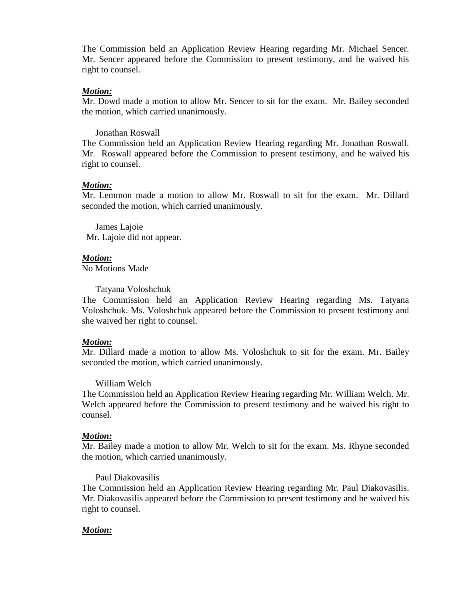The Commission held an Application Review Hearing regarding Mr. Michael Sencer. Mr. Sencer appeared before the Commission to present testimony, and he waived his right to counsel.

#### *Motion:*

Mr. Dowd made a motion to allow Mr. Sencer to sit for the exam. Mr. Bailey seconded the motion, which carried unanimously.

Jonathan Roswall

The Commission held an Application Review Hearing regarding Mr. Jonathan Roswall. Mr. Roswall appeared before the Commission to present testimony, and he waived his right to counsel.

# *Motion:*

Mr. Lemmon made a motion to allow Mr. Roswall to sit for the exam. Mr. Dillard seconded the motion, which carried unanimously.

 James Lajoie Mr. Lajoie did not appear.

# *Motion:*

No Motions Made

Tatyana Voloshchuk

The Commission held an Application Review Hearing regarding Ms. Tatyana Voloshchuk. Ms. Voloshchuk appeared before the Commission to present testimony and she waived her right to counsel.

# *Motion:*

Mr. Dillard made a motion to allow Ms. Voloshchuk to sit for the exam. Mr. Bailey seconded the motion, which carried unanimously.

# William Welch

The Commission held an Application Review Hearing regarding Mr. William Welch. Mr. Welch appeared before the Commission to present testimony and he waived his right to counsel.

# *Motion:*

Mr. Bailey made a motion to allow Mr. Welch to sit for the exam. Ms. Rhyne seconded the motion, which carried unanimously.

# Paul Diakovasilis

The Commission held an Application Review Hearing regarding Mr. Paul Diakovasilis. Mr. Diakovasilis appeared before the Commission to present testimony and he waived his right to counsel.

# *Motion:*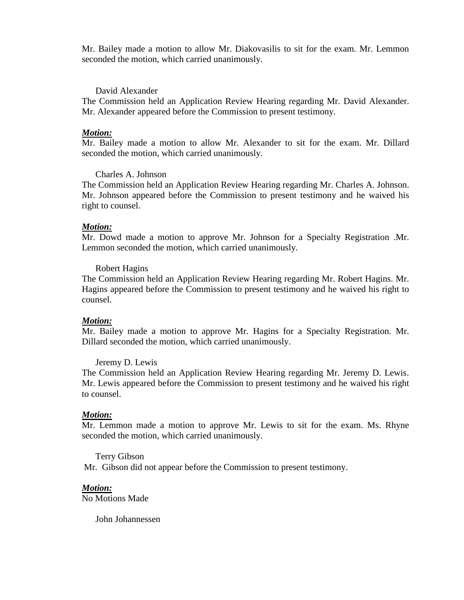Mr. Bailey made a motion to allow Mr. Diakovasilis to sit for the exam. Mr. Lemmon seconded the motion, which carried unanimously.

#### David Alexander

The Commission held an Application Review Hearing regarding Mr. David Alexander. Mr. Alexander appeared before the Commission to present testimony.

#### *Motion:*

Mr. Bailey made a motion to allow Mr. Alexander to sit for the exam. Mr. Dillard seconded the motion, which carried unanimously.

#### Charles A. Johnson

The Commission held an Application Review Hearing regarding Mr. Charles A. Johnson. Mr. Johnson appeared before the Commission to present testimony and he waived his right to counsel.

#### *Motion:*

Mr. Dowd made a motion to approve Mr. Johnson for a Specialty Registration .Mr. Lemmon seconded the motion, which carried unanimously.

#### Robert Hagins

The Commission held an Application Review Hearing regarding Mr. Robert Hagins. Mr. Hagins appeared before the Commission to present testimony and he waived his right to counsel.

#### *Motion:*

Mr. Bailey made a motion to approve Mr. Hagins for a Specialty Registration. Mr. Dillard seconded the motion, which carried unanimously.

#### Jeremy D. Lewis

The Commission held an Application Review Hearing regarding Mr. Jeremy D. Lewis. Mr. Lewis appeared before the Commission to present testimony and he waived his right to counsel.

#### *Motion:*

Mr. Lemmon made a motion to approve Mr. Lewis to sit for the exam. Ms. Rhyne seconded the motion, which carried unanimously.

Terry Gibson Mr. Gibson did not appear before the Commission to present testimony.

#### *Motion:*

No Motions Made

John Johannessen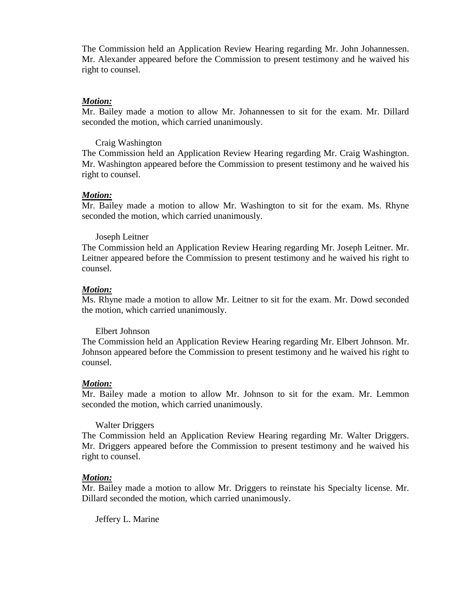The Commission held an Application Review Hearing regarding Mr. John Johannessen. Mr. Alexander appeared before the Commission to present testimony and he waived his right to counsel.

#### *Motion:*

Mr. Bailey made a motion to allow Mr. Johannessen to sit for the exam. Mr. Dillard seconded the motion, which carried unanimously.

#### Craig Washington

The Commission held an Application Review Hearing regarding Mr. Craig Washington. Mr. Washington appeared before the Commission to present testimony and he waived his right to counsel.

### *Motion:*

Mr. Bailey made a motion to allow Mr. Washington to sit for the exam. Ms. Rhyne seconded the motion, which carried unanimously.

#### Joseph Leitner

The Commission held an Application Review Hearing regarding Mr. Joseph Leitner. Mr. Leitner appeared before the Commission to present testimony and he waived his right to counsel.

#### *Motion:*

Ms. Rhyne made a motion to allow Mr. Leitner to sit for the exam. Mr. Dowd seconded the motion, which carried unanimously.

#### Elbert Johnson

The Commission held an Application Review Hearing regarding Mr. Elbert Johnson. Mr. Johnson appeared before the Commission to present testimony and he waived his right to counsel.

#### *Motion:*

Mr. Bailey made a motion to allow Mr. Johnson to sit for the exam. Mr. Lemmon seconded the motion, which carried unanimously.

# Walter Driggers

The Commission held an Application Review Hearing regarding Mr. Walter Driggers. Mr. Driggers appeared before the Commission to present testimony and he waived his right to counsel.

#### *Motion:*

Mr. Bailey made a motion to allow Mr. Driggers to reinstate his Specialty license. Mr. Dillard seconded the motion, which carried unanimously.

Jeffery L. Marine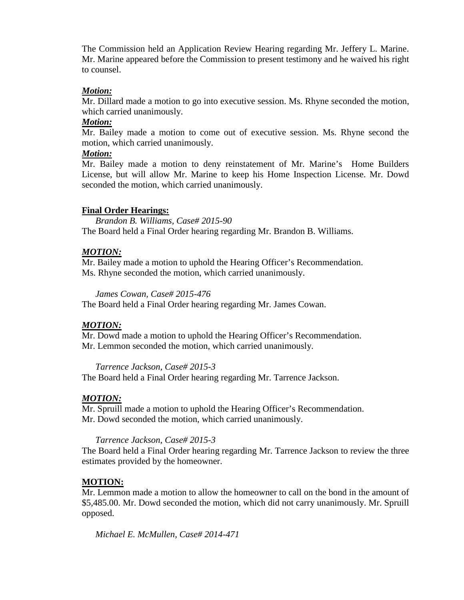The Commission held an Application Review Hearing regarding Mr. Jeffery L. Marine. Mr. Marine appeared before the Commission to present testimony and he waived his right to counsel.

# *Motion:*

Mr. Dillard made a motion to go into executive session. Ms. Rhyne seconded the motion, which carried unanimously.

# *Motion:*

Mr. Bailey made a motion to come out of executive session. Ms. Rhyne second the motion, which carried unanimously.

# *Motion:*

Mr. Bailey made a motion to deny reinstatement of Mr. Marine's Home Builders License, but will allow Mr. Marine to keep his Home Inspection License. Mr. Dowd seconded the motion, which carried unanimously.

# **Final Order Hearings:**

*Brandon B. Williams, Case# 2015-90* The Board held a Final Order hearing regarding Mr. Brandon B. Williams.

# *MOTION:*

Mr. Bailey made a motion to uphold the Hearing Officer's Recommendation. Ms. Rhyne seconded the motion, which carried unanimously.

*James Cowan, Case# 2015-476*

The Board held a Final Order hearing regarding Mr. James Cowan.

# *MOTION:*

Mr. Dowd made a motion to uphold the Hearing Officer's Recommendation. Mr. Lemmon seconded the motion, which carried unanimously.

*Tarrence Jackson, Case# 2015-3*

The Board held a Final Order hearing regarding Mr. Tarrence Jackson.

# *MOTION:*

Mr. Spruill made a motion to uphold the Hearing Officer's Recommendation. Mr. Dowd seconded the motion, which carried unanimously.

# *Tarrence Jackson, Case# 2015-3*

The Board held a Final Order hearing regarding Mr. Tarrence Jackson to review the three estimates provided by the homeowner.

# **MOTION:**

Mr. Lemmon made a motion to allow the homeowner to call on the bond in the amount of \$5,485.00. Mr. Dowd seconded the motion, which did not carry unanimously. Mr. Spruill opposed.

*Michael E. McMullen, Case# 2014-471*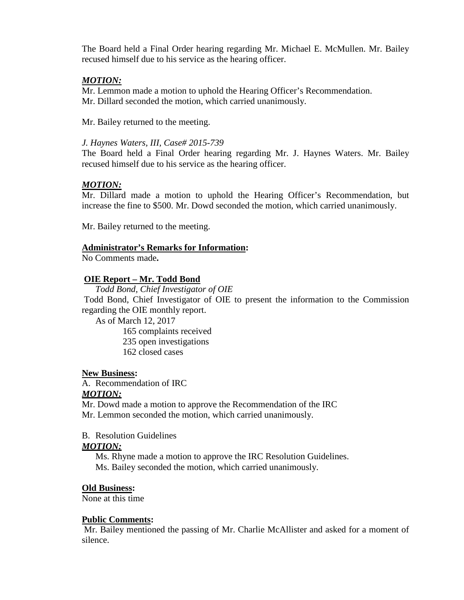The Board held a Final Order hearing regarding Mr. Michael E. McMullen. Mr. Bailey recused himself due to his service as the hearing officer.

# *MOTION:*

Mr. Lemmon made a motion to uphold the Hearing Officer's Recommendation. Mr. Dillard seconded the motion, which carried unanimously.

Mr. Bailey returned to the meeting.

# *J. Haynes Waters, III, Case# 2015-739*

The Board held a Final Order hearing regarding Mr. J. Haynes Waters. Mr. Bailey recused himself due to his service as the hearing officer.

# *MOTION:*

Mr. Dillard made a motion to uphold the Hearing Officer's Recommendation, but increase the fine to \$500. Mr. Dowd seconded the motion, which carried unanimously.

Mr. Bailey returned to the meeting.

# **Administrator's Remarks for Information:**

No Comments made**.** 

# **OIE Report – Mr. Todd Bond**

*Todd Bond, Chief Investigator of OIE* Todd Bond, Chief Investigator of OIE to present the information to the Commission regarding the OIE monthly report.

As of March 12, 2017

165 complaints received

- 235 open investigations
- 162 closed cases

# **New Business:**

A. Recommendation of IRC *MOTION:*

Mr. Dowd made a motion to approve the Recommendation of the IRC Mr. Lemmon seconded the motion, which carried unanimously.

# B. Resolution Guidelines

# *MOTION:*

Ms. Rhyne made a motion to approve the IRC Resolution Guidelines. Ms. Bailey seconded the motion, which carried unanimously.

# **Old Business:**

None at this time

#### **Public Comments:**

Mr. Bailey mentioned the passing of Mr. Charlie McAllister and asked for a moment of silence.